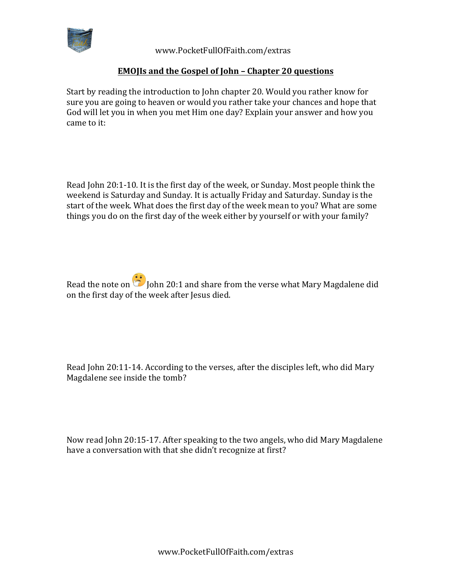

 www.PocketFullOfFaith.com/extras

## **EMOJIs and the Gospel of John - Chapter 20 questions**

Start by reading the introduction to John chapter 20. Would you rather know for sure you are going to heaven or would you rather take your chances and hope that God will let you in when you met Him one day? Explain your answer and how you came to it:

Read John 20:1-10. It is the first day of the week, or Sunday. Most people think the weekend is Saturday and Sunday. It is actually Friday and Saturday. Sunday is the start of the week. What does the first day of the week mean to you? What are some things you do on the first day of the week either by yourself or with your family?

Read the note on  $\ddot{\odot}$  John 20:1 and share from the verse what Mary Magdalene did on the first day of the week after Jesus died.

Read John 20:11-14. According to the verses, after the disciples left, who did Mary Magdalene see inside the tomb?

Now read John 20:15-17. After speaking to the two angels, who did Mary Magdalene have a conversation with that she didn't recognize at first?